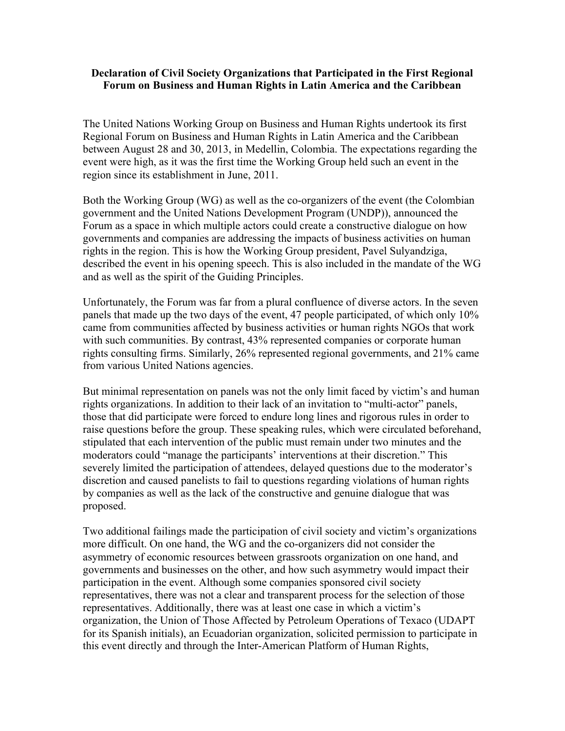## **Declaration of Civil Society Organizations that Participated in the First Regional Forum on Business and Human Rights in Latin America and the Caribbean**

The United Nations Working Group on Business and Human Rights undertook its first Regional Forum on Business and Human Rights in Latin America and the Caribbean between August 28 and 30, 2013, in Medellin, Colombia. The expectations regarding the event were high, as it was the first time the Working Group held such an event in the region since its establishment in June, 2011.

Both the Working Group (WG) as well as the co-organizers of the event (the Colombian government and the United Nations Development Program (UNDP)), announced the Forum as a space in which multiple actors could create a constructive dialogue on how governments and companies are addressing the impacts of business activities on human rights in the region. This is how the Working Group president, Pavel Sulyandziga, described the event in his opening speech. This is also included in the mandate of the WG and as well as the spirit of the Guiding Principles.

Unfortunately, the Forum was far from a plural confluence of diverse actors. In the seven panels that made up the two days of the event, 47 people participated, of which only 10% came from communities affected by business activities or human rights NGOs that work with such communities. By contrast, 43% represented companies or corporate human rights consulting firms. Similarly, 26% represented regional governments, and 21% came from various United Nations agencies.

But minimal representation on panels was not the only limit faced by victim's and human rights organizations. In addition to their lack of an invitation to "multi-actor" panels, those that did participate were forced to endure long lines and rigorous rules in order to raise questions before the group. These speaking rules, which were circulated beforehand, stipulated that each intervention of the public must remain under two minutes and the moderators could "manage the participants' interventions at their discretion." This severely limited the participation of attendees, delayed questions due to the moderator's discretion and caused panelists to fail to questions regarding violations of human rights by companies as well as the lack of the constructive and genuine dialogue that was proposed.

Two additional failings made the participation of civil society and victim's organizations more difficult. On one hand, the WG and the co-organizers did not consider the asymmetry of economic resources between grassroots organization on one hand, and governments and businesses on the other, and how such asymmetry would impact their participation in the event. Although some companies sponsored civil society representatives, there was not a clear and transparent process for the selection of those representatives. Additionally, there was at least one case in which a victim's organization, the Union of Those Affected by Petroleum Operations of Texaco (UDAPT for its Spanish initials), an Ecuadorian organization, solicited permission to participate in this event directly and through the Inter-American Platform of Human Rights,